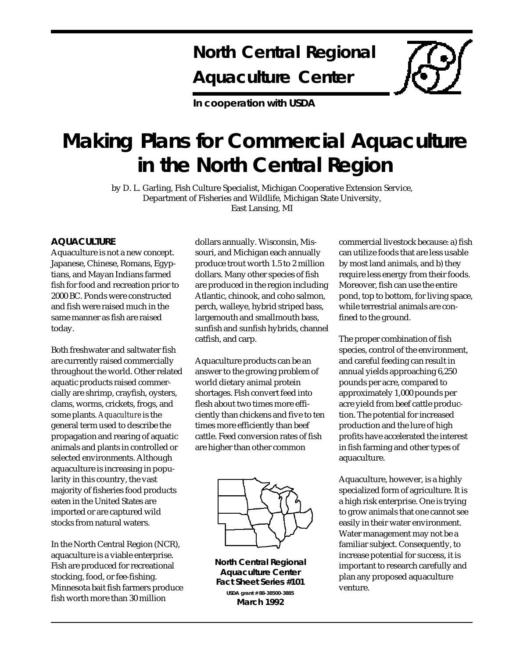## **North Central Regional Aquaculture Center**

**In cooperation with USDA**

# **Making Plans for Commercial Aquaculture in the North Central Region**

by D. L. Garling, Fish Culture Specialist, Michigan Cooperative Extension Service, Department of Fisheries and Wildlife, Michigan State University, East Lansing, MI

#### **AQUACULTURE**

Aquaculture is not a new concept. Japanese, Chinese, Romans, Egyptians, and Mayan Indians farmed fish for food and recreation prior to 2000 BC. Ponds were constructed and fish were raised much in the same manner as fish are raised today.

Both freshwater and saltwater fish are currently raised commercially throughout the world. Other related aquatic products raised commercially are shrimp, crayfish, oysters, clams, worms, crickets, frogs, and some plants. *Aquaculture* is the general term used to describe the propagation and rearing of aquatic animals and plants in controlled or selected environments. Although aquaculture is increasing in popularity in this country, the vast majority of fisheries food products eaten in the United States are imported or are captured wild stocks from natural waters.

In the North Central Region (NCR), aquaculture is a viable enterprise. Fish are produced for recreational stocking, food, or fee-fishing. Minnesota bait fish farmers produce fish worth more than 30 million

dollars annually. Wisconsin, Missouri, and Michigan each annually produce trout worth 1.5 to 2 million dollars. Many other species of fish are produced in the region including Atlantic, chinook, and coho salmon, perch, walleye, hybrid striped bass, largemouth and smallmouth bass, sunfish and sunfish hybrids, channel catfish, and carp.

Aquaculture products can be an answer to the growing problem of world dietary animal protein shortages. Fish convert feed into flesh about two times more efficiently than chickens and five to ten times more efficiently than beef cattle. Feed conversion rates of fish are higher than other common



**North Central Regional Aquaculture Center Fact Sheet Series #101 USDA grant # 88-38500-3885 March 1992**

commercial livestock because: a) fish can utilize foods that are less usable by most land animals, and b) they require less energy from their foods. Moreover, fish can use the entire pond, top to bottom, for living space, while terrestrial animals are confined to the ground.

The proper combination of fish species, control of the environment, and careful feeding can result in annual yields approaching 6,250 pounds per acre, compared to approximately 1,000 pounds per acre yield from beef cattle production. The potential for increased production and the lure of high profits have accelerated the interest in fish farming and other types of aquaculture.

Aquaculture, however, is a highly specialized form of agriculture. It is a high risk enterprise. One is trying to grow animals that one cannot see easily in their water environment. Water management may not be a familiar subject. Consequently, to increase potential for success, it is important to research carefully and plan any proposed aquaculture venture.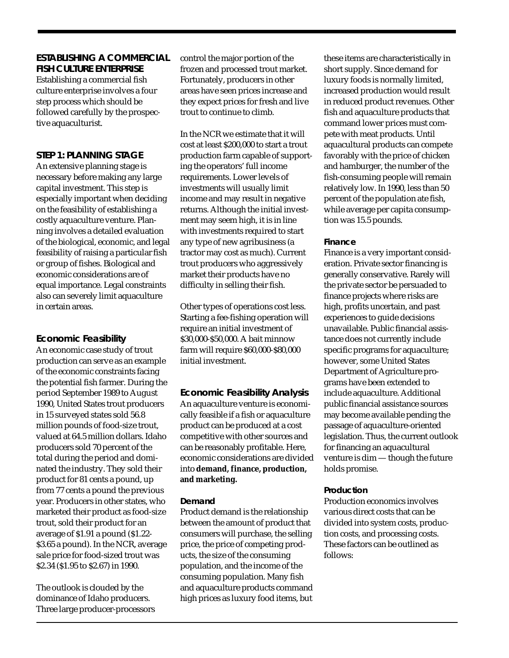**ESTABLISHING A COMMERCIAL FISH CULTURE ENTERPRISE** Establishing a commercial fish culture enterprise involves a four step process which should be followed carefully by the prospective aquaculturist.

#### **STEP 1: PLANNING STAGE**

An extensive planning stage is necessary before making any large capital investment. This step is especially important when deciding on the feasibility of establishing a costly aquaculture venture. Planning involves a detailed evaluation of the biological, economic, and legal feasibility of raising a particular fish or group of fishes. Biological and economic considerations are of equal importance. Legal constraints also can severely limit aquaculture in certain areas.

#### **Economic Feasibility**

An economic case study of trout production can serve as an example of the economic constraints facing the potential fish farmer. During the period September 1989 to August 1990, United States trout producers in 15 surveyed states sold 56.8 million pounds of food-size trout, valued at 64.5 million dollars. Idaho producers sold 70 percent of the total during the period and dominated the industry. They sold their product for 81 cents a pound, up from 77 cents a pound the previous year. Producers in other states, who marketed their product as food-size trout, sold their product for an average of \$1.91 a pound (\$1.22- \$3.65 a pound). In the NCR, average sale price for food-sized trout was \$2.34 (\$1.95 to \$2.67) in 1990.

The outlook is clouded by the dominance of Idaho producers. Three large producer-processors control the major portion of the frozen and processed trout market. Fortunately, producers in other areas have seen prices increase and they expect prices for fresh and live trout to continue to climb.

In the NCR we estimate that it will cost at least \$200,000 to start a trout production farm capable of supporting the operators' full income requirements. Lower levels of investments will usually limit income and may result in negative returns. Although the initial investment may seem high, it is in line with investments required to start any type of new agribusiness (a tractor may cost as much). Current trout producers who aggressively market their products have no difficulty in selling their fish.

Other types of operations cost less. Starting a fee-fishing operation will require an initial investment of \$30,000-\$50,000. A bait minnow farm will require \$60,000-\$80,000 initial investment.

### **Economic Feasibility Analysis**

An aquaculture venture is economically feasible if a fish or aquaculture product can be produced at a cost competitive with other sources and can be reasonably profitable. Here, economic considerations are divided into **demand, finance, production, and marketing.**

#### *Demand*

Product demand is the relationship between the amount of product that consumers will purchase, the selling price, the price of competing products, the size of the consuming population, and the income of the consuming population. Many fish and aquaculture products command high prices as luxury food items, but these items are characteristically in short supply. Since demand for luxury foods is normally limited, increased production would result in reduced product revenues. Other fish and aquaculture products that command lower prices must compete with meat products. Until aquacultural products can compete favorably with the price of chicken and hamburger, the number of the fish-consuming people will remain relatively low. In 1990, less than 50 percent of the population ate fish, while average per capita consumption was 15.5 pounds.

#### *Finance*

Finance is a very important consideration. Private sector financing is generally conservative. Rarely will the private sector be persuaded to finance projects where risks are high, profits uncertain, and past experiences to guide decisions unavailable. Public financial assistance does not currently include specific programs for aquaculture; however, some United States Department of Agriculture programs have been extended to include aquaculture. Additional public financial assistance sources may become available pending the passage of aquaculture-oriented legislation. Thus, the current outlook for financing an aquacultural venture is dim — though the future holds promise.

#### *Production*

Production economics involves various direct costs that can be divided into system costs, production costs, and processing costs. These factors can be outlined as follows: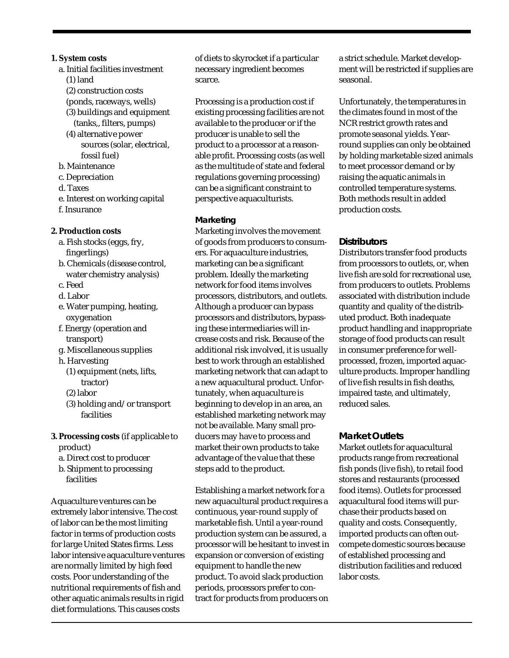- **1. System costs**
	- a. Initial facilities investment (1) land
		- (2) construction costs
		- (ponds, raceways, wells)
		- (3) buildings and equipment (tanks,, filters, pumps)
		- (4) alternative power sources (solar, electrical, fossil fuel)
	- b. Maintenance
	- c. Depreciation
	- d. Taxes
	- e. Interest on working capital f. Insurance
	-
- **2. Production costs**
	- a. Fish stocks (eggs, fry, fingerlings)
	- b. Chemicals (disease control, water chemistry analysis)
	- c. Feed
	- d. Labor
	- e. Water pumping, heating, oxygenation
	- f. Energy (operation and transport)
	- g. Miscellaneous supplies
	- h. Harvesting
		- (1) equipment (nets, lifts, tractor)
		- (2) labor
		- (3) holding and/or transport facilities
- **3. Processing costs** (if applicable to product)
	- a. Direct cost to producer
	- b. Shipment to processing facilities

Aquaculture ventures can be extremely labor intensive. The cost of labor can be the most limiting factor in terms of production costs for large United States firms. Less labor intensive aquaculture ventures are normally limited by high feed costs. Poor understanding of the nutritional requirements of fish and other aquatic animals results in rigid diet formulations. This causes costs

of diets to skyrocket if a particular necessary ingredient becomes scarce.

Processing is a production cost if existing processing facilities are not available to the producer or if the producer is unable to sell the product to a processor at a reasonable profit. Processing costs (as well as the multitude of state and federal regulations governing processing) can be a significant constraint to perspective aquaculturists.

#### *Marketing*

Marketing involves the movement of goods from producers to consumers. For aquaculture industries, marketing can be a significant problem. Ideally the marketing network for food items involves processors, distributors, and outlets. Although a producer can bypass processors and distributors, bypassing these intermediaries will increase costs and risk. Because of the additional risk involved, it is usually best to work through an established marketing network that can adapt to a new aquacultural product. Unfortunately, when aquaculture is beginning to develop in an area, an established marketing network may not be available. Many small producers may have to process and market their own products to take advantage of the value that these steps add to the product.

Establishing a market network for a new aquacultural product requires a continuous, year-round supply of marketable fish. Until a year-round production system can be assured, a processor will be hesitant to invest in expansion or conversion of existing equipment to handle the new product. To avoid slack production periods, processors prefer to contract for products from producers on

a strict schedule. Market development will be restricted if supplies are seasonal.

Unfortunately, the temperatures in the climates found in most of the NCR restrict growth rates and promote seasonal yields. Yearround supplies can only be obtained by holding marketable sized animals to meet processor demand or by raising the aquatic animals in controlled temperature systems. Both methods result in added production costs.

#### **Distributors**

Distributors transfer food products from processors to outlets, or, when live fish are sold for recreational use, from producers to outlets. Problems associated with distribution include quantity and quality of the distributed product. Both inadequate product handling and inappropriate storage of food products can result in consumer preference for wellprocessed, frozen, imported aquaculture products. Improper handling of live fish results in fish deaths, impaired taste, and ultimately, reduced sales.

#### **Market Outlets**

Market outlets for aquacultural products range from recreational fish ponds (live fish), to retail food stores and restaurants (processed food items). Outlets for processed aquacultural food items will purchase their products based on quality and costs. Consequently, imported products can often outcompete domestic sources because of established processing and distribution facilities and reduced labor costs.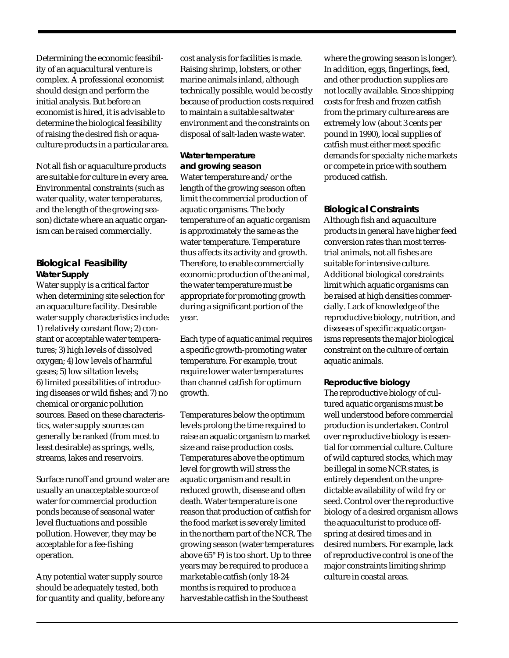Determining the economic feasibility of an aquacultural venture is complex. A professional economist should design and perform the initial analysis. But before an economist is hired, it is advisable to determine the biological feasibility of raising the desired fish or aquaculture products in a particular area.

Not all fish or aquaculture products are suitable for culture in every area. Environmental constraints (such as water quality, water temperatures, and the length of the growing season) dictate where an aquatic organism can be raised commercially.

#### **Biological Feasibility** *Water Supply*

Water supply is a critical factor when determining site selection for an aquaculture facility. Desirable water supply characteristics include: 1) relatively constant flow; 2) constant or acceptable water temperatures; 3) high levels of dissolved oxygen; 4) low levels of harmful gases; 5) low siltation levels; 6) limited possibilities of introducing diseases or wild fishes; and 7) no chemical or organic pollution sources. Based on these characteristics, water supply sources can generally be ranked (from most to least desirable) as springs, wells, streams, lakes and reservoirs.

Surface runoff and ground water are usually an unacceptable source of water for commercial production ponds because of seasonal water level fluctuations and possible pollution. However, they may be acceptable for a fee-fishing operation.

Any potential water supply source should be adequately tested, both for quantity and quality, before any cost analysis for facilities is made. Raising shrimp, lobsters, or other marine animals inland, although technically possible, would be costly because of production costs required to maintain a suitable saltwater environment and the constraints on disposal of salt-laden waste water.

#### *Water temperature*

*and growing season* Water temperature and/or the length of the growing season often limit the commercial production of aquatic organisms. The body temperature of an aquatic organism is approximately the same as the water temperature. Temperature thus affects its activity and growth. Therefore, to enable commercially economic production of the animal, the water temperature must be appropriate for promoting growth during a significant portion of the year.

Each type of aquatic animal requires a specific growth-promoting water temperature. For example, trout require lower water temperatures than channel catfish for optimum growth.

Temperatures below the optimum levels prolong the time required to raise an aquatic organism to market size and raise production costs. Temperatures above the optimum level for growth will stress the aquatic organism and result in reduced growth, disease and often death. Water temperature is one reason that production of catfish for the food market is severely limited in the northern part of the NCR. The growing season (water temperatures above 65° F) is too short. Up to three years may be required to produce a marketable catfish (only 18-24 months is required to produce a harvestable catfish in the Southeast

where the growing season is longer). In addition, eggs, fingerlings, feed, and other production supplies are not locally available. Since shipping costs for fresh and frozen catfish from the primary culture areas are extremely low (about 3 cents per pound in 1990), local supplies of catfish must either meet specific demands for specialty niche markets or compete in price with southern produced catfish.

**Biological Constraints** Although fish and aquaculture products in general have higher feed conversion rates than most terrestrial animals, not all fishes are suitable for intensive culture. Additional biological constraints limit which aquatic organisms can be raised at high densities commercially. Lack of knowledge of the reproductive biology, nutrition, and diseases of specific aquatic organisms represents the major biological constraint on the culture of certain aquatic animals.

*Reproductive biology*

The reproductive biology of cultured aquatic organisms must be well understood before commercial production is undertaken. Control over reproductive biology is essential for commercial culture. Culture of wild captured stocks, which may be illegal in some NCR states, is entirely dependent on the unpredictable availability of wild fry or seed. Control over the reproductive biology of a desired organism allows the aquaculturist to produce offspring at desired times and in desired numbers. For example, lack of reproductive control is one of the major constraints limiting shrimp culture in coastal areas.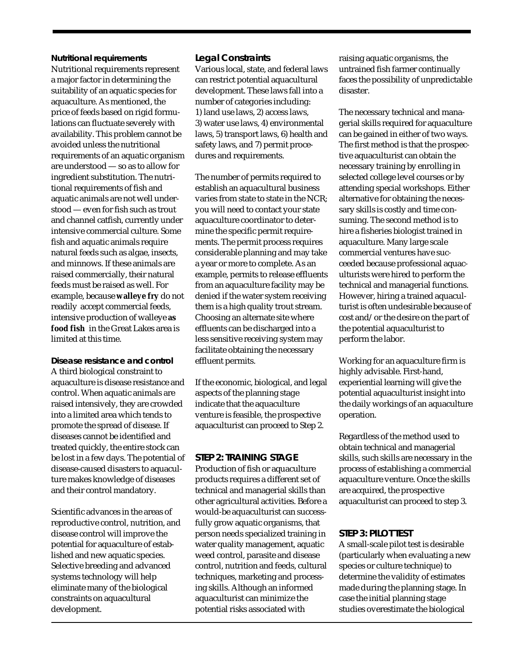#### *Nutritional requirements*

Nutritional requirements represent a major factor in determining the suitability of an aquatic species for aquaculture. As mentioned, the price of feeds based on rigid formulations can fluctuate severely with availability. This problem cannot be avoided unless the nutritional requirements of an aquatic organism are understood — so as to allow for ingredient substitution. The nutritional requirements of fish and aquatic animals are not well understood — even for fish such as trout and channel catfish, currently under intensive commercial culture. Some fish and aquatic animals require natural feeds such as algae, insects, and minnows. If these animals are raised commercially, their natural feeds must be raised as well. For example, because **walleye fry** do not readily accept commercial feeds, intensive production of walleye **as food fish** in the Great Lakes area is limited at this time.

*Disease resistance and control* A third biological constraint to aquaculture is disease resistance and control. When aquatic animals are raised intensively, they are crowded into a limited area which tends to promote the spread of disease. If diseases cannot be identified and treated quickly, the entire stock can be lost in a few days. The potential of disease-caused disasters to aquaculture makes knowledge of diseases and their control mandatory.

Scientific advances in the areas of reproductive control, nutrition, and disease control will improve the potential for aquaculture of established and new aquatic species. Selective breeding and advanced systems technology will help eliminate many of the biological constraints on aquacultural development.

#### **Legal Constraints**

Various local, state, and federal laws can restrict potential aquacultural development. These laws fall into a number of categories including: 1) land use laws, 2) access laws, 3) water use laws, 4) environmental laws, 5) transport laws, 6) health and safety laws, and 7) permit procedures and requirements.

The number of permits required to establish an aquacultural business varies from state to state in the NCR; you will need to contact your state aquaculture coordinator to determine the specific permit requirements. The permit process requires considerable planning and may take a year or more to complete. As an example, permits to release effluents from an aquaculture facility may be denied if the water system receiving them is a high quality trout stream. Choosing an alternate site where effluents can be discharged into a less sensitive receiving system may facilitate obtaining the necessary effluent permits.

If the economic, biological, and legal aspects of the planning stage indicate that the aquaculture venture is feasible, the prospective aquaculturist can proceed to Step 2.

#### **STEP 2: TRAINING STAGE**

Production of fish or aquaculture products requires a different set of technical and managerial skills than other agricultural activities. Before a would-be aquaculturist can successfully grow aquatic organisms, that person needs specialized training in water quality management, aquatic weed control, parasite and disease control, nutrition and feeds, cultural techniques, marketing and processing skills. Although an informed aquaculturist can minimize the potential risks associated with

raising aquatic organisms, the untrained fish farmer continually faces the possibility of unpredictable disaster.

The necessary technical and managerial skills required for aquaculture can be gained in either of two ways. The first method is that the prospective aquaculturist can obtain the necessary training by enrolling in selected college level courses or by attending special workshops. Either alternative for obtaining the necessary skills is costly and time consuming. The second method is to hire a fisheries biologist trained in aquaculture. Many large scale commercial ventures have succeeded because professional aquaculturists were hired to perform the technical and managerial functions. However, hiring a trained aquaculturist is often undesirable because of cost and/or the desire on the part of the potential aquaculturist to perform the labor.

Working for an aquaculture firm is highly advisable. First-hand, experiential learning will give the potential aquaculturist insight into the daily workings of an aquaculture operation.

Regardless of the method used to obtain technical and managerial skills, such skills are necessary in the process of establishing a commercial aquaculture venture. Once the skills are acquired, the prospective aquaculturist can proceed to step 3.

#### **STEP 3: PILOT TEST**

A small-scale pilot test is desirable (particularly when evaluating a new species or culture technique) to determine the validity of estimates made during the planning stage. In case the initial planning stage studies overestimate the biological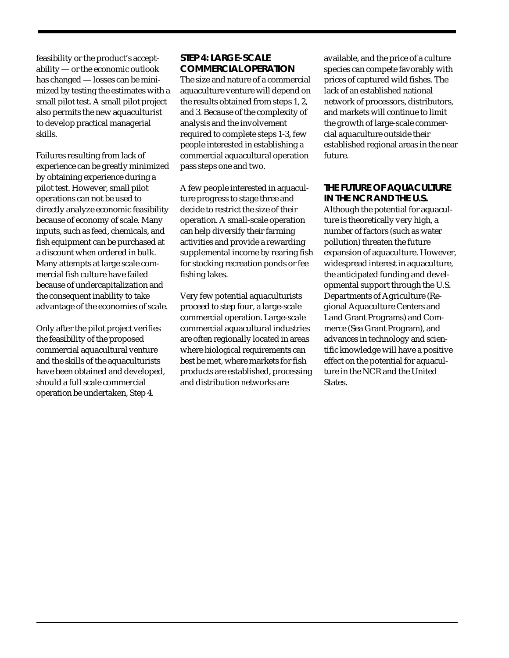feasibility or the product's acceptability — or the economic outlook has changed — losses can be minimized by testing the estimates with a small pilot test. A small pilot project also permits the new aquaculturist to develop practical managerial skills.

Failures resulting from lack of experience can be greatly minimized by obtaining experience during a pilot test. However, small pilot operations can not be used to directly analyze economic feasibility because of economy of scale. Many inputs, such as feed, chemicals, and fish equipment can be purchased at a discount when ordered in bulk. Many attempts at large scale commercial fish culture have failed because of undercapitalization and the consequent inability to take advantage of the economies of scale.

Only after the pilot project verifies the feasibility of the proposed commercial aquacultural venture and the skills of the aquaculturists have been obtained and developed, should a full scale commercial operation be undertaken, Step 4.

#### **STEP 4: LARGE-SCALE COMMERCIAL OPERATION**

The size and nature of a commercial aquaculture venture will depend on the results obtained from steps 1, 2, and 3. Because of the complexity of analysis and the involvement required to complete steps 1-3, few people interested in establishing a commercial aquacultural operation pass steps one and two.

A few people interested in aquaculture progress to stage three and decide to restrict the size of their operation. A small-scale operation can help diversify their farming activities and provide a rewarding supplemental income by rearing fish for stocking recreation ponds or fee fishing lakes.

Very few potential aquaculturists proceed to step four, a large-scale commercial operation. Large-scale commercial aquacultural industries are often regionally located in areas where biological requirements can best be met, where markets for fish products are established, processing and distribution networks are

available, and the price of a culture species can compete favorably with prices of captured wild fishes. The lack of an established national network of processors, distributors, and markets will continue to limit the growth of large-scale commercial aquaculture outside their established regional areas in the near future.

**THE FUTURE OF AQUACULTURE IN THE NCR AND THE U.S.** Although the potential for aquaculture is theoretically very high, a number of factors (such as water pollution) threaten the future expansion of aquaculture. However, widespread interest in aquaculture, the anticipated funding and developmental support through the U.S. Departments of Agriculture (Regional Aquaculture Centers and Land Grant Programs) and Commerce (Sea Grant Program), and advances in technology and scientific knowledge will have a positive effect on the potential for aquaculture in the NCR and the United **States**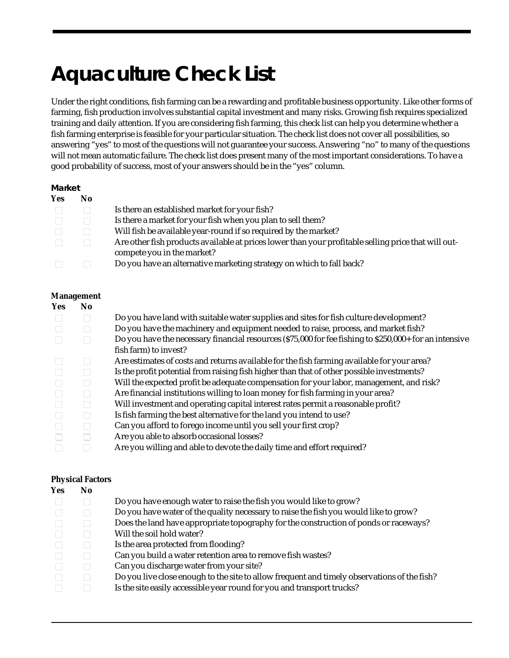# **Aquaculture Check List**

Under the right conditions, fish farming can be a rewarding and profitable business opportunity. Like other forms of farming, fish production involves substantial capital investment and many risks. Growing fish requires specialized training and daily attention. If you are considering fish farming, this check list can help you determine whether a fish farming enterprise is feasible for your particular situation. The check list does not cover all possibilities, so answering "yes" to most of the questions will not guarantee your success. Answering "no" to many of the questions will not mean automatic failure. The check list does present many of the most important considerations. To have a good probability of success, most of your answers should be in the "yes" column.

#### *Market*

| Yes | No.    |                                                                                                                                   |
|-----|--------|-----------------------------------------------------------------------------------------------------------------------------------|
|     |        | Is there an established market for your fish?                                                                                     |
|     |        | Is there a market for your fish when you plan to sell them?                                                                       |
|     |        | Will fish be available year-round if so required by the market?                                                                   |
|     | $\Box$ | Are other fish products available at prices lower than your profitable selling price that will out-<br>compete you in the market? |
|     |        | Do you have an alternative marketing strategy on which to fall back?                                                              |

#### **Management**

| Yes | N <sub>0</sub> |                                                                                                        |
|-----|----------------|--------------------------------------------------------------------------------------------------------|
|     |                | Do you have land with suitable water supplies and sites for fish culture development?                  |
|     |                | Do you have the machinery and equipment needed to raise, process, and market fish?                     |
|     |                | Do you have the necessary financial resources (\$75,000 for fee fishing to \$250,000+ for an intensive |
|     |                | fish farm) to invest?                                                                                  |
|     |                | Are estimates of costs and returns available for the fish farming available for your area?             |
|     |                | Is the profit potential from raising fish higher than that of other possible investments?              |
|     |                | Will the expected profit be adequate compensation for your labor, management, and risk?                |
|     |                | Are financial institutions willing to loan money for fish farming in your area?                        |
|     |                | Will investment and operating capital interest rates permit a reasonable profit?                       |
|     |                | Is fish farming the best alternative for the land you intend to use?                                   |
|     |                | Can you afford to forego income until you sell your first crop?                                        |
|     |                | Are you able to absorb occasional losses?                                                              |
|     |                | Are you willing and able to devote the daily time and effort required?                                 |

#### **Physical Factors**

| Yes | No |                                                                                             |
|-----|----|---------------------------------------------------------------------------------------------|
|     |    | Do you have enough water to raise the fish you would like to grow?                          |
|     |    | Do you have water of the quality necessary to raise the fish you would like to grow?        |
|     |    | Does the land have appropriate topography for the construction of ponds or raceways?        |
|     |    | Will the soil hold water?                                                                   |
|     |    | Is the area protected from flooding?                                                        |
|     |    | Can you build a water retention area to remove fish wastes?                                 |
|     |    | Can you discharge water from your site?                                                     |
|     |    | Do you live close enough to the site to allow frequent and timely observations of the fish? |
|     |    | Is the site easily accessible year round for you and transport trucks?                      |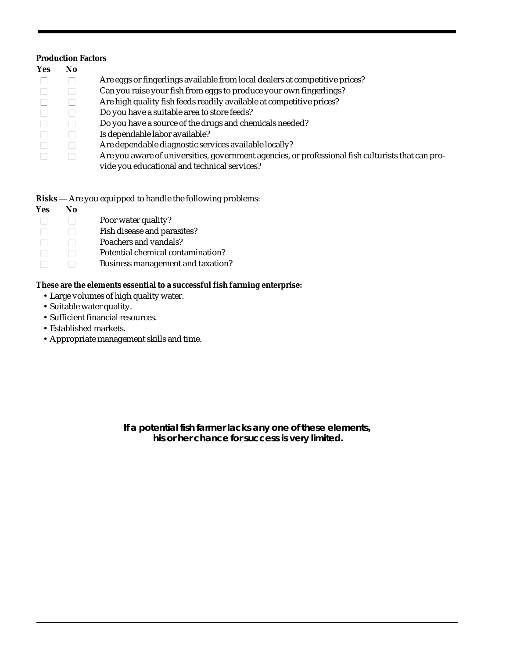#### **Production Factors**

| Yes | No                          |                                                                                                   |  |
|-----|-----------------------------|---------------------------------------------------------------------------------------------------|--|
|     | $\mathcal{L}$               | Are eggs or fingerlings available from local dealers at competitive prices?                       |  |
|     |                             | Can you raise your fish from eggs to produce your own fingerlings?                                |  |
|     |                             | Are high quality fish feeds readily available at competitive prices?                              |  |
|     | $\mathcal{L}_{\mathcal{A}}$ | Do you have a suitable area to store feeds?                                                       |  |
|     | ٦                           | Do you have a source of the drugs and chemicals needed?                                           |  |
|     | $\mathcal{L}$               | Is dependable labor available?                                                                    |  |
|     | $\mathcal{L}_{\mathcal{A}}$ | Are dependable diagnostic services available locally?                                             |  |
|     |                             | Are you aware of universities, government agencies, or professional fish culturists that can pro- |  |
|     |                             | vide you educational and technical services?                                                      |  |

**Risks** — Are you equipped to handle the following problems:

**Yes No**  $\Box$  Poor water quality? □ Bish disease and parasites?  $\Box$  Poachers and vandals?  $\Box$  Potential chemical contamination? □ Business management and taxation?

**These are the elements essential to a successful fish farming enterprise:**

- Large volumes of high quality water.
- Suitable water quality.
- Sufficient financial resources.
- Established markets.
- Appropriate management skills and time.

**If a potential fish farmer lacks any one of these elements, his or her chance for success is very limited.**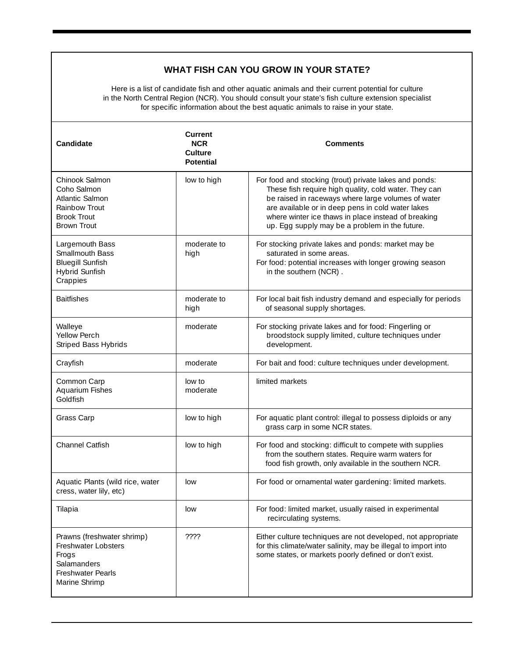#### **WHAT FISH CAN YOU GROW IN YOUR STATE?**

Here is a list of candidate fish and other aquatic animals and their current potential for culture in the North Central Region (NCR). You should consult your state's fish culture extension specialist for specific information about the best aquatic animals to raise in your state.

| <b>Candidate</b>                                                                                                       | <b>Current</b><br><b>NCR</b><br><b>Culture</b><br><b>Potential</b> | Comments                                                                                                                                                                                                                                                                                                                            |  |
|------------------------------------------------------------------------------------------------------------------------|--------------------------------------------------------------------|-------------------------------------------------------------------------------------------------------------------------------------------------------------------------------------------------------------------------------------------------------------------------------------------------------------------------------------|--|
| Chinook Salmon<br>Coho Salmon<br>Atlantic Salmon<br>Rainbow Trout<br><b>Brook Trout</b><br><b>Brown Trout</b>          | low to high                                                        | For food and stocking (trout) private lakes and ponds:<br>These fish require high quality, cold water. They can<br>be raised in raceways where large volumes of water<br>are available or in deep pens in cold water lakes<br>where winter ice thaws in place instead of breaking<br>up. Egg supply may be a problem in the future. |  |
| Largemouth Bass<br>Smallmouth Bass<br><b>Bluegill Sunfish</b><br><b>Hybrid Sunfish</b><br>Crappies                     | moderate to<br>high                                                | For stocking private lakes and ponds: market may be<br>saturated in some areas.<br>For food: potential increases with longer growing season<br>in the southern (NCR).                                                                                                                                                               |  |
| <b>Baitfishes</b>                                                                                                      | moderate to<br>high                                                | For local bait fish industry demand and especially for periods<br>of seasonal supply shortages.                                                                                                                                                                                                                                     |  |
| Walleye<br><b>Yellow Perch</b><br>Striped Bass Hybrids                                                                 | moderate                                                           | For stocking private lakes and for food: Fingerling or<br>broodstock supply limited, culture techniques under<br>development.                                                                                                                                                                                                       |  |
| Crayfish                                                                                                               | moderate                                                           | For bait and food: culture techniques under development.                                                                                                                                                                                                                                                                            |  |
| Common Carp<br>Aquarium Fishes<br>Goldfish                                                                             | low to<br>moderate                                                 | limited markets                                                                                                                                                                                                                                                                                                                     |  |
| Grass Carp                                                                                                             | low to high                                                        | For aquatic plant control: illegal to possess diploids or any<br>grass carp in some NCR states.                                                                                                                                                                                                                                     |  |
| Channel Catfish                                                                                                        | low to high                                                        | For food and stocking: difficult to compete with supplies<br>from the southern states. Require warm waters for<br>food fish growth, only available in the southern NCR.                                                                                                                                                             |  |
| Aquatic Plants (wild rice, water<br>cress, water lily, etc)                                                            | low                                                                | For food or ornamental water gardening: limited markets.                                                                                                                                                                                                                                                                            |  |
| Tilapia                                                                                                                | low                                                                | For food: limited market, usually raised in experimental<br>recirculating systems.                                                                                                                                                                                                                                                  |  |
| Prawns (freshwater shrimp)<br>Freshwater Lobsters<br>Frogs<br>Salamanders<br><b>Freshwater Pearls</b><br>Marine Shrimp | ????                                                               | Either culture techniques are not developed, not appropriate<br>for this climate/water salinity, may be illegal to import into<br>some states, or markets poorly defined or don't exist.                                                                                                                                            |  |